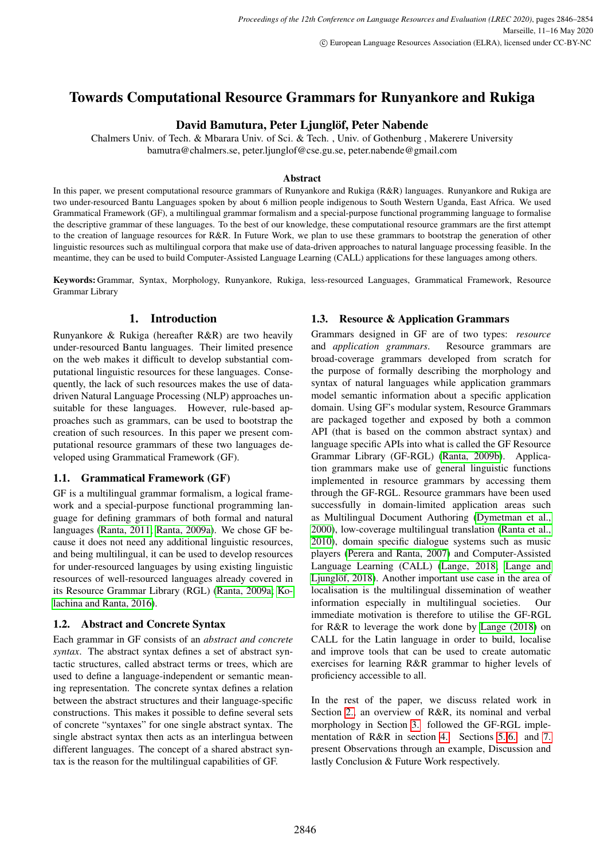# Towards Computational Resource Grammars for Runyankore and Rukiga

# David Bamutura, Peter Ljunglöf, Peter Nabende

Chalmers Univ. of Tech. & Mbarara Univ. of Sci. & Tech. , Univ. of Gothenburg , Makerere University bamutra@chalmers.se, peter.ljunglof@cse.gu.se, peter.nabende@gmail.com

#### Abstract

In this paper, we present computational resource grammars of Runyankore and Rukiga (R&R) languages. Runyankore and Rukiga are two under-resourced Bantu Languages spoken by about 6 million people indigenous to South Western Uganda, East Africa. We used Grammatical Framework (GF), a multilingual grammar formalism and a special-purpose functional programming language to formalise the descriptive grammar of these languages. To the best of our knowledge, these computational resource grammars are the first attempt to the creation of language resources for R&R. In Future Work, we plan to use these grammars to bootstrap the generation of other linguistic resources such as multilingual corpora that make use of data-driven approaches to natural language processing feasible. In the meantime, they can be used to build Computer-Assisted Language Learning (CALL) applications for these languages among others.

Keywords: Grammar, Syntax, Morphology, Runyankore, Rukiga, less-resourced Languages, Grammatical Framework, Resource Grammar Library

## 1. Introduction

Runyankore & Rukiga (hereafter R&R) are two heavily under-resourced Bantu languages. Their limited presence on the web makes it difficult to develop substantial computational linguistic resources for these languages. Consequently, the lack of such resources makes the use of datadriven Natural Language Processing (NLP) approaches unsuitable for these languages. However, rule-based approaches such as grammars, can be used to bootstrap the creation of such resources. In this paper we present computational resource grammars of these two languages developed using Grammatical Framework (GF).

## 1.1. Grammatical Framework (GF)

GF is a multilingual grammar formalism, a logical framework and a special-purpose functional programming language for defining grammars of both formal and natural languages [\(Ranta, 2011;](#page-8-0) [Ranta, 2009a\)](#page-8-1). We chose GF because it does not need any additional linguistic resources, and being multilingual, it can be used to develop resources for under-resourced languages by using existing linguistic resources of well-resourced languages already covered in its Resource Grammar Library (RGL) [\(Ranta, 2009a;](#page-8-1) [Ko](#page-8-2)[lachina and Ranta, 2016\)](#page-8-2).

## 1.2. Abstract and Concrete Syntax

Each grammar in GF consists of an *abstract and concrete syntax*. The abstract syntax defines a set of abstract syntactic structures, called abstract terms or trees, which are used to define a language-independent or semantic meaning representation. The concrete syntax defines a relation between the abstract structures and their language-specific constructions. This makes it possible to define several sets of concrete "syntaxes" for one single abstract syntax. The single abstract syntax then acts as an interlingua between different languages. The concept of a shared abstract syntax is the reason for the multilingual capabilities of GF.

## 1.3. Resource & Application Grammars

Grammars designed in GF are of two types: *resource* and *application grammars*. Resource grammars are broad-coverage grammars developed from scratch for the purpose of formally describing the morphology and syntax of natural languages while application grammars model semantic information about a specific application domain. Using GF's modular system, Resource Grammars are packaged together and exposed by both a common API (that is based on the common abstract syntax) and language specific APIs into what is called the GF Resource Grammar Library (GF-RGL) [\(Ranta, 2009b\)](#page-8-3). Application grammars make use of general linguistic functions implemented in resource grammars by accessing them through the GF-RGL. Resource grammars have been used successfully in domain-limited application areas such as Multilingual Document Authoring [\(Dymetman et al.,](#page-8-4) [2000\)](#page-8-4), low-coverage multilingual translation [\(Ranta et al.,](#page-8-5) [2010\)](#page-8-5), domain specific dialogue systems such as music players [\(Perera and Ranta, 2007\)](#page-8-6) and Computer-Assisted Language Learning (CALL) [\(Lange, 2018;](#page-8-7) [Lange and](#page-8-8) Ljunglöf, 2018). Another important use case in the area of localisation is the multilingual dissemination of weather information especially in multilingual societies. Our immediate motivation is therefore to utilise the GF-RGL for R&R to leverage the work done by [Lange \(2018\)](#page-8-7) on CALL for the Latin language in order to build, localise and improve tools that can be used to create automatic exercises for learning R&R grammar to higher levels of proficiency accessible to all.

<span id="page-0-0"></span>In the rest of the paper, we discuss related work in Section [2.,](#page-0-0) an overview of R&R, its nominal and verbal morphology in Section [3.](#page-1-0) followed the GF-RGL implementation of R&R in section [4..](#page-2-0) Sections [5.,](#page-6-0)[6.](#page-7-0) and [7.](#page-7-1) present Observations through an example, Discussion and lastly Conclusion & Future Work respectively.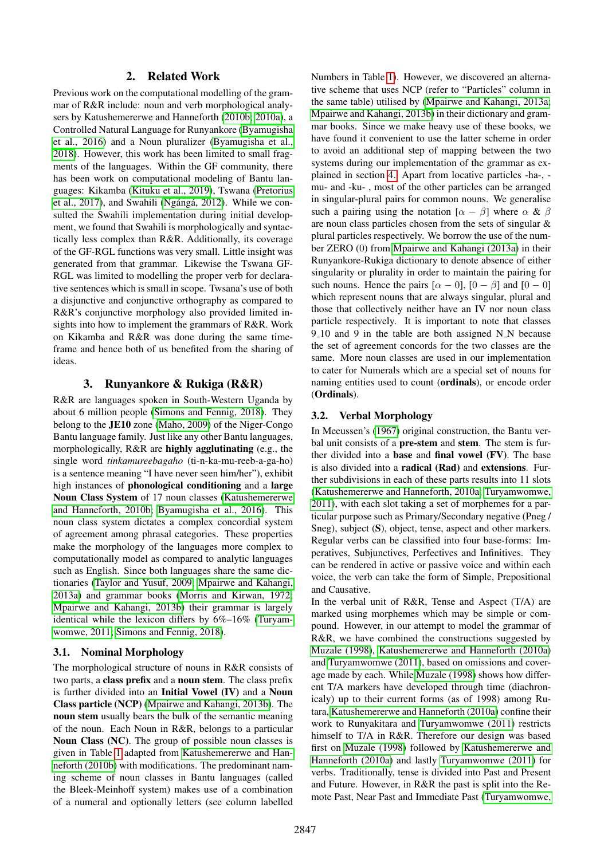## 2. Related Work

Previous work on the computational modelling of the grammar of R&R include: noun and verb morphological analysers by Katushemererwe and Hanneforth [\(2010b;](#page-8-9) [2010a\)](#page-8-10), a Controlled Natural Language for Runyankore [\(Byamugisha](#page-8-11) [et al., 2016\)](#page-8-11) and a Noun pluralizer [\(Byamugisha et al.,](#page-8-12) [2018\)](#page-8-12). However, this work has been limited to small fragments of the languages. Within the GF community, there has been work on computational modeling of Bantu languages: Kikamba [\(Kituku et al., 2019\)](#page-8-13), Tswana [\(Pretorius](#page-8-14) et al.,  $2017$ ), and Swahili (Ngángá,  $2012$ ). While we consulted the Swahili implementation during initial development, we found that Swahili is morphologically and syntactically less complex than R&R. Additionally, its coverage of the GF-RGL functions was very small. Little insight was generated from that grammar. Likewise the Tswana GF-RGL was limited to modelling the proper verb for declarative sentences which is small in scope. Twsana's use of both a disjunctive and conjunctive orthography as compared to R&R's conjunctive morphology also provided limited insights into how to implement the grammars of R&R. Work on Kikamba and R&R was done during the same timeframe and hence both of us benefited from the sharing of ideas.

## 3. Runyankore & Rukiga (R&R)

<span id="page-1-0"></span>R&R are languages spoken in South-Western Uganda by about 6 million people [\(Simons and Fennig, 2018\)](#page-8-16). They belong to the JE10 zone [\(Maho, 2009\)](#page-8-17) of the Niger-Congo Bantu language family. Just like any other Bantu languages, morphologically, R&R are highly agglutinating (e.g., the single word *tinkamureebagaho* (ti-n-ka-mu-reeb-a-ga-ho) is a sentence meaning "I have never seen him/her"), exhibit high instances of phonological conditioning and a large Noun Class System of 17 noun classes [\(Katushemererwe](#page-8-9) [and Hanneforth, 2010b;](#page-8-9) [Byamugisha et al., 2016\)](#page-8-11). This noun class system dictates a complex concordial system of agreement among phrasal categories. These properties make the morphology of the languages more complex to computationally model as compared to analytic languages such as English. Since both languages share the same dictionaries [\(Taylor and Yusuf, 2009;](#page-8-18) [Mpairwe and Kahangi,](#page-8-19) [2013a\)](#page-8-19) and grammar books [\(Morris and Kirwan, 1972;](#page-8-20) [Mpairwe and Kahangi, 2013b\)](#page-8-21) their grammar is largely identical while the lexicon differs by 6%–16% [\(Turyam](#page-8-22)[womwe, 2011;](#page-8-22) [Simons and Fennig, 2018\)](#page-8-16).

## 3.1. Nominal Morphology

The morphological structure of nouns in R&R consists of two parts, a class prefix and a noun stem. The class prefix is further divided into an Initial Vowel (IV) and a Noun Class particle (NCP) [\(Mpairwe and Kahangi, 2013b\)](#page-8-21). The noun stem usually bears the bulk of the semantic meaning of the noun. Each Noun in R&R, belongs to a particular Noun Class (NC). The group of possible noun classes is given in Table [1](#page-2-1) adapted from [Katushemererwe and Han](#page-8-9)[neforth \(2010b\)](#page-8-9) with modifications. The predominant naming scheme of noun classes in Bantu languages (called the Bleek-Meinhoff system) makes use of a combination of a numeral and optionally letters (see column labelled Numbers in Table [1\)](#page-2-1). However, we discovered an alternative scheme that uses NCP (refer to "Particles" column in the same table) utilised by [\(Mpairwe and Kahangi, 2013a;](#page-8-19) [Mpairwe and Kahangi, 2013b\)](#page-8-21) in their dictionary and grammar books. Since we make heavy use of these books, we have found it convenient to use the latter scheme in order to avoid an additional step of mapping between the two systems during our implementation of the grammar as explained in section [4.](#page-2-0) Apart from locative particles -ha-, mu- and -ku- , most of the other particles can be arranged in singular-plural pairs for common nouns. We generalise such a pairing using the notation  $[\alpha - \beta]$  where  $\alpha \& \beta$ are noun class particles chosen from the sets of singular & plural particles respectively. We borrow the use of the number ZERO (0) from [Mpairwe and Kahangi \(2013a\)](#page-8-19) in their Runyankore-Rukiga dictionary to denote absence of either singularity or plurality in order to maintain the pairing for such nouns. Hence the pairs  $[\alpha - 0]$ ,  $[0 - \beta]$  and  $[0 - 0]$ which represent nouns that are always singular, plural and those that collectively neither have an IV nor noun class particle respectively. It is important to note that classes  $9-10$  and 9 in the table are both assigned N<sub>N</sub> because the set of agreement concords for the two classes are the same. More noun classes are used in our implementation to cater for Numerals which are a special set of nouns for naming entities used to count (ordinals), or encode order (Ordinals).

## 3.2. Verbal Morphology

In Meeussen's [\(1967\)](#page-8-23) original construction, the Bantu verbal unit consists of a pre-stem and stem. The stem is further divided into a base and final vowel (FV). The base is also divided into a radical (Rad) and extensions. Further subdivisions in each of these parts results into 11 slots [\(Katushemererwe and Hanneforth, 2010a;](#page-8-10) [Turyamwomwe,](#page-8-22) [2011\)](#page-8-22), with each slot taking a set of morphemes for a particular purpose such as Primary/Secondary negative (Pneg / Sneg), subject (S), object, tense, aspect and other markers. Regular verbs can be classified into four base-forms: Imperatives, Subjunctives, Perfectives and Infinitives. They can be rendered in active or passive voice and within each voice, the verb can take the form of Simple, Prepositional and Causative.

In the verbal unit of R&R, Tense and Aspect (T/A) are marked using morphemes which may be simple or compound. However, in our attempt to model the grammar of R&R, we have combined the constructions suggested by [Muzale \(1998\)](#page-8-24), [Katushemererwe and Hanneforth \(2010a\)](#page-8-10) and [Turyamwomwe \(2011\)](#page-8-22), based on omissions and coverage made by each. While [Muzale \(1998\)](#page-8-24) shows how different T/A markers have developed through time (diachronicaly) up to their current forms (as of 1998) among Rutara, [Katushemererwe and Hanneforth \(2010a\)](#page-8-10) confine their work to Runyakitara and [Turyamwomwe \(2011\)](#page-8-22) restricts himself to T/A in R&R. Therefore our design was based first on [Muzale \(1998\)](#page-8-24) followed by [Katushemererwe and](#page-8-10) [Hanneforth \(2010a\)](#page-8-10) and lastly [Turyamwomwe \(2011\)](#page-8-22) for verbs. Traditionally, tense is divided into Past and Present and Future. However, in R&R the past is split into the Remote Past, Near Past and Immediate Past [\(Turyamwomwe,](#page-8-22)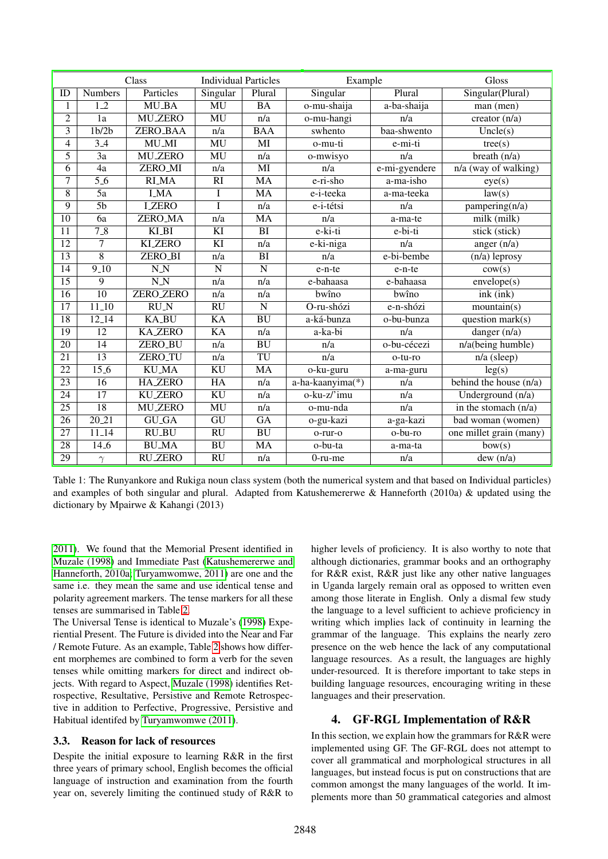<span id="page-2-1"></span>

| Class                   |                                | <b>Individual Particles</b> |                             | Example                |                  | Gloss                      |                                   |
|-------------------------|--------------------------------|-----------------------------|-----------------------------|------------------------|------------------|----------------------------|-----------------------------------|
| ID                      | <b>Numbers</b>                 | Particles                   | Singular                    | Plural                 | Singular         | Plural                     | Singular(Plural)                  |
| 1                       | $\overline{1 \cdot 2}$         | <b>MU_BA</b>                | MU                          | BA                     | o-mu-shaija      | a-ba-shaija                | man (men)                         |
| $\overline{2}$          | $\overline{1a}$                | <b>MU_ZERO</b>              | MU                          | n/a                    | o-mu-hangi       | n/a                        | creator $(n/a)$                   |
| $\overline{\mathbf{3}}$ | 1 <sub>b</sub> /2 <sub>b</sub> | ZERO_BAA                    | n/a                         | <b>BAA</b>             | swhento          | baa-shwento                | Uncle(s)                          |
| 4                       | $\overline{3.4}$               | <b>MU_MI</b>                | MU                          | $\overline{\text{MI}}$ | o-mu-ti          | e-mi-ti                    | tree(s)                           |
| 5                       | $\overline{3a}$                | <b>MU_ZERO</b>              | MU                          | n/a                    | o-mwisyo         | n/a                        | breath $(n/a)$                    |
| $\overline{6}$          | $\overline{4a}$                | ZERO_MI                     | n/a                         | $\overline{\text{MI}}$ | n/a              | e-mi-gyendere              | $\overline{n/a}$ (way of walking) |
| 7                       | $\overline{5.6}$               | <b>RLMA</b>                 | $\overline{RI}$             | <b>MA</b>              | e-ri-sho         | a-ma-isho                  | eye(s)                            |
| 8                       | $\overline{5a}$                | <b>I_MA</b>                 | I                           | <b>MA</b>              | e-i-teeka        | a-ma-teeka                 | law(s)                            |
| 9                       | $\overline{5b}$                | <b>LZERO</b>                | T                           | n/a                    | e-i-tétsi        | n/a                        | pampering(n/a)                    |
| 10                      | $\overline{6a}$                | ZERO_MA                     | n/a                         | MA                     | n/a              | a-ma-te                    | $milk$ (milk)                     |
| 11                      | $7-8$                          | $KI$ <sub>BI</sub>          | KI                          | BI                     | e-ki-ti          | e-bi-ti                    | stick (stick)                     |
| $\overline{12}$         | $\overline{7}$                 | <b>KLZERO</b>               | $\overline{K}$              | n/a                    | e-ki-niga        | n/a                        | anger $(n/a)$                     |
| $\overline{13}$         | $\overline{8}$                 | ZERO_BI                     | n/a                         | BI                     | n/a              | e-bi-bembe                 | $(n/a)$ leprosy                   |
| $\overline{14}$         | $9-10$                         | $\overline{N}N$             | $\overline{\mathbf{N}}$     | $\mathbf N$            | e-n-te           | e-n-te                     | cov(s)                            |
| $\overline{15}$         | $\overline{9}$                 | $\overline{N}$              | n/a                         | n/a                    | e-bahaasa        | e-bahaasa                  | envelope(s)                       |
| $\overline{16}$         | $\overline{10}$                | <b>ZERO ZERO</b>            | n/a                         | n/a                    | bwîno            | bwîno                      | ink (ink)                         |
| 17                      | $11-10$                        | $\overline{RU}N$            | $\overline{RU}$             | N                      | O-ru-shózi       | $\overline{e - n - shózi}$ | mountain(s)                       |
| $\overline{18}$         | $12 - 14$                      | <b>KA_BU</b>                | <b>KA</b>                   | $\overline{BU}$        | a-ká-bunza       | o-bu-bunza                 | question mark(s)                  |
| 19                      | $\overline{12}$                | <b>KA_ZERO</b>              | KA                          | n/a                    | a-ka-bi          | n/a                        | danger $(n/a)$                    |
| $\overline{20}$         | 14                             | ZERO_BU                     | n/a                         | $\overline{BU}$        | n/a              | o-bu-cécezi                | n/a(being humble)                 |
| 21                      | $\overline{13}$                | ZERO_TU                     | $\overline{n}/\overline{a}$ | TU                     | n/a              | o-tu-ro                    | $n/a$ (sleep)                     |
| $\overline{22}$         | 15.6                           | <b>KU_MA</b>                | <b>KU</b>                   | MA                     | o-ku-guru        | a-ma-guru                  | leg(s)                            |
| $\overline{23}$         | 16                             | <b>HAZERO</b>               | H A                         | n/a                    | a-ha-kaanyima(*) | n/a                        | behind the house $(n/a)$          |
| 24                      | 17                             | <b>KU_ZERO</b>              | KU                          | n/a                    | o-ku-z/'imu      | n/a                        | Underground (n/a)                 |
| $\overline{25}$         | $\overline{18}$                | <b>MU_ZERO</b>              | MU                          | n/a                    | o-mu-nda         | $\overline{n/a}$           | in the stomach $(n/a)$            |
| 26                      | $20 - 21$                      | $GU_GA$                     | $\overline{GU}$             | $\overline{GA}$        | o-gu-kazi        | a-ga-kazi                  | bad woman (women)                 |
| 27                      | $11 - 14$                      | $RU$ <sub>-BU</sub>         | <b>RU</b>                   | $\overline{BU}$        | o-rur-o          | $o$ -bu-ro                 | one millet grain (many)           |
| $\overline{28}$         | $14-6$                         | <b>BU_MA</b>                | <b>BU</b>                   | MA                     | o-bu-ta          | a-ma-ta                    | bow(s)                            |
| 29                      | $\gamma$                       | <b>RU_ZERO</b>              | RU                          | n/a                    | $0$ -ru-me       | n/a                        | dew $(n/a)$                       |

Table 1: The Runyankore and Rukiga noun class system (both the numerical system and that based on Individual particles) and examples of both singular and plural. Adapted from Katushemererwe & Hanneforth (2010a) & updated using the dictionary by Mpairwe & Kahangi (2013)

[2011\)](#page-8-22). We found that the Memorial Present identified in [Muzale \(1998\)](#page-8-24) and Immediate Past [\(Katushemererwe and](#page-8-10) [Hanneforth, 2010a;](#page-8-10) [Turyamwomwe, 2011\)](#page-8-22) are one and the same i.e. they mean the same and use identical tense and polarity agreement markers. The tense markers for all these tenses are summarised in Table [2.](#page-3-0)

The Universal Tense is identical to Muzale's [\(1998\)](#page-8-24) Experiential Present. The Future is divided into the Near and Far / Remote Future. As an example, Table [2](#page-3-0) shows how different morphemes are combined to form a verb for the seven tenses while omitting markers for direct and indirect objects. With regard to Aspect, [Muzale \(1998\)](#page-8-24) identifies Retrospective, Resultative, Persistive and Remote Retrospective in addition to Perfective, Progressive, Persistive and Habitual identifed by [Turyamwomwe \(2011\)](#page-8-22).

#### 3.3. Reason for lack of resources

Despite the initial exposure to learning R&R in the first three years of primary school, English becomes the official language of instruction and examination from the fourth year on, severely limiting the continued study of R&R to

higher levels of proficiency. It is also worthy to note that although dictionaries, grammar books and an orthography for R&R exist, R&R just like any other native languages in Uganda largely remain oral as opposed to written even among those literate in English. Only a dismal few study the language to a level sufficient to achieve proficiency in writing which implies lack of continuity in learning the grammar of the language. This explains the nearly zero presence on the web hence the lack of any computational language resources. As a result, the languages are highly under-resourced. It is therefore important to take steps in building language resources, encouraging writing in these languages and their preservation.

## <span id="page-2-0"></span>4. GF-RGL Implementation of R&R

In this section, we explain how the grammars for R&R were implemented using GF. The GF-RGL does not attempt to cover all grammatical and morphological structures in all languages, but instead focus is put on constructions that are common amongst the many languages of the world. It implements more than 50 grammatical categories and almost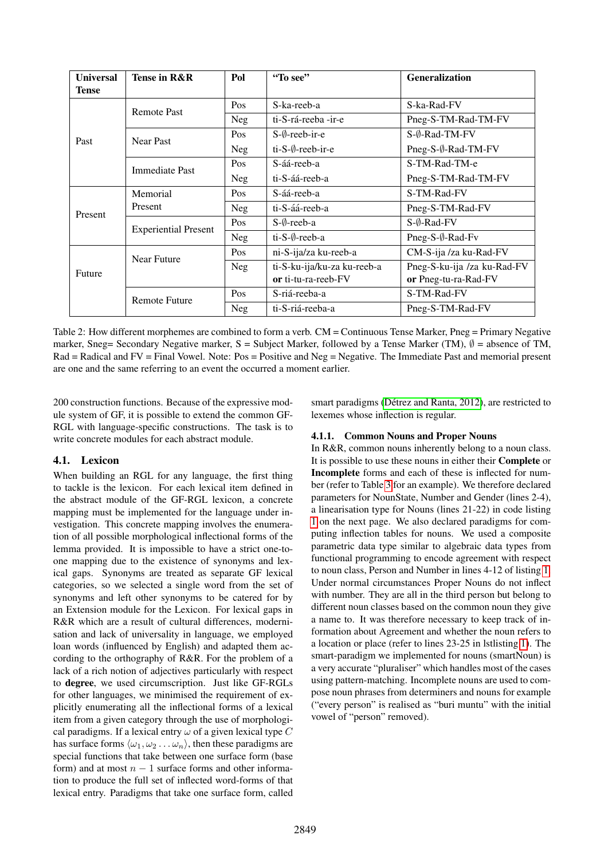<span id="page-3-0"></span>

| <b>Universal</b><br><b>Tense</b> | Tense in R&R                | Pol        | "To see"                    | <b>Generalization</b>       |
|----------------------------------|-----------------------------|------------|-----------------------------|-----------------------------|
|                                  |                             | Pos        | S-ka-reeb-a                 | S-ka-Rad-FV                 |
|                                  | <b>Remote Past</b>          | <b>Neg</b> | ti-S-rá-reeba -ir-e         | Pneg-S-TM-Rad-TM-FV         |
|                                  |                             | Pos        | $S-\emptyset$ -reeb-ir-e    | S-Ø-Rad-TM-FV               |
| Past                             | <b>Near Past</b>            | Neg        | ti-S-Ø-reeb-ir-e            | Pneg-S-Ø-Rad-TM-FV          |
|                                  | <b>Immediate Past</b>       | <b>Pos</b> | S-áá-reeb-a                 | S-TM-Rad-TM-e               |
|                                  |                             | <b>Neg</b> | ti-S-áá-reeb-a              | Pneg-S-TM-Rad-TM-FV         |
|                                  | Memorial                    | Pos        | S-áá-reeb-a                 | S-TM-Rad-FV                 |
| Present                          | Present                     | Neg        | ti-S-áá-reeb-a              | Pneg-S-TM-Rad-FV            |
|                                  | <b>Experiential Present</b> | Pos        | S-Ø-reeb-a                  | $S-\emptyset$ -Rad-FV       |
|                                  |                             | Neg        | $ti-S-\emptyset$ -reeb-a    | Pneg-S-Ø-Rad-Fv             |
|                                  | Near Future                 | Pos        | ni-S-ija/za ku-reeb-a       | CM-S-ija /za ku-Rad-FV      |
| Future                           |                             | Neg        | ti-S-ku-ija/ku-za ku-reeb-a | Pneg-S-ku-ija /za ku-Rad-FV |
|                                  |                             |            | or ti-tu-ra-reeb-FV         | or Pneg-tu-ra-Rad-FV        |
|                                  | <b>Remote Future</b>        | Pos        | S-riá-reeba-a               | S-TM-Rad-FV                 |
|                                  |                             | Neg        | ti-S-riá-reeba-a            | Pneg-S-TM-Rad-FV            |

Table 2: How different morphemes are combined to form a verb. CM = Continuous Tense Marker, Pneg = Primary Negative marker, Sneg= Secondary Negative marker, S = Subject Marker, followed by a Tense Marker (TM),  $\emptyset$  = absence of TM, Rad = Radical and FV = Final Vowel. Note: Pos = Positive and Neg = Negative. The Immediate Past and memorial present are one and the same referring to an event the occurred a moment earlier.

200 construction functions. Because of the expressive module system of GF, it is possible to extend the common GF-RGL with language-specific constructions. The task is to write concrete modules for each abstract module.

## 4.1. Lexicon

When building an RGL for any language, the first thing to tackle is the lexicon. For each lexical item defined in the abstract module of the GF-RGL lexicon, a concrete mapping must be implemented for the language under investigation. This concrete mapping involves the enumeration of all possible morphological inflectional forms of the lemma provided. It is impossible to have a strict one-toone mapping due to the existence of synonyms and lexical gaps. Synonyms are treated as separate GF lexical categories, so we selected a single word from the set of synonyms and left other synonyms to be catered for by an Extension module for the Lexicon. For lexical gaps in R&R which are a result of cultural differences, modernisation and lack of universality in language, we employed loan words (influenced by English) and adapted them according to the orthography of R&R. For the problem of a lack of a rich notion of adjectives particularly with respect to degree, we used circumscription. Just like GF-RGLs for other languages, we minimised the requirement of explicitly enumerating all the inflectional forms of a lexical item from a given category through the use of morphological paradigms. If a lexical entry  $\omega$  of a given lexical type C has surface forms  $\langle \omega_1, \omega_2 \dots \omega_n \rangle$ , then these paradigms are special functions that take between one surface form (base form) and at most  $n - 1$  surface forms and other information to produce the full set of inflected word-forms of that lexical entry. Paradigms that take one surface form, called smart paradigms (Détrez and Ranta, 2012), are restricted to lexemes whose inflection is regular.

#### 4.1.1. Common Nouns and Proper Nouns

In R&R, common nouns inherently belong to a noun class. It is possible to use these nouns in either their Complete or Incomplete forms and each of these is inflected for number (refer to Table [3](#page-4-0) for an example). We therefore declared parameters for NounState, Number and Gender (lines 2-4), a linearisation type for Nouns (lines 21-22) in code listing [1](#page-4-1) on the next page. We also declared paradigms for computing inflection tables for nouns. We used a composite parametric data type similar to algebraic data types from functional programming to encode agreement with respect to noun class, Person and Number in lines 4-12 of listing [1.](#page-4-1) Under normal circumstances Proper Nouns do not inflect with number. They are all in the third person but belong to different noun classes based on the common noun they give a name to. It was therefore necessary to keep track of information about Agreement and whether the noun refers to a location or place (refer to lines 23-25 in lstlisting [1\)](#page-4-1). The smart-paradigm we implemented for nouns (smartNoun) is a very accurate "pluraliser" which handles most of the cases using pattern-matching. Incomplete nouns are used to compose noun phrases from determiners and nouns for example ("every person" is realised as "buri muntu" with the initial vowel of "person" removed).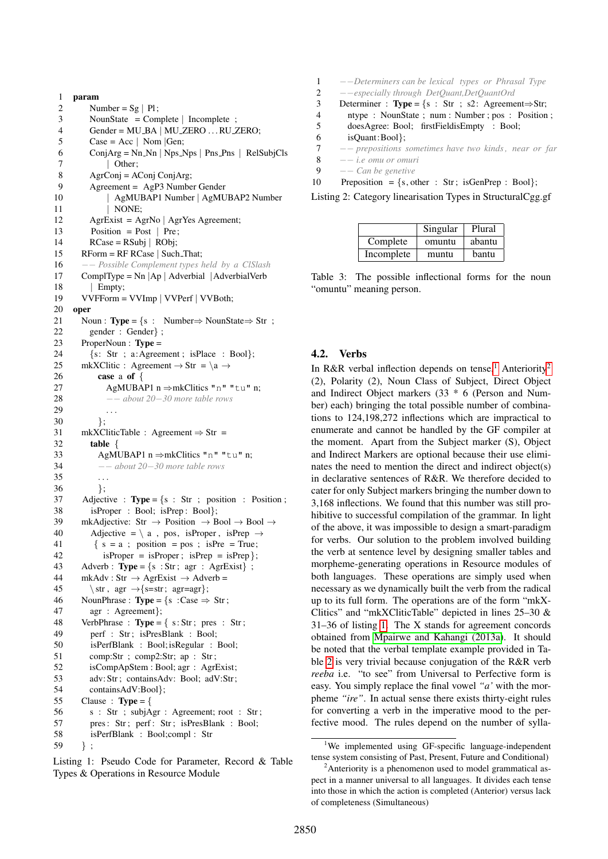```
1 param
 2 Number = Sg | Pl;
 3 NounState = Complete | Incomplete ;
 4 Gender = MU_BA | MU_ZERO ... RU_ZERO;
 5 \qquad \text{Case} = \text{Acc} \mid \text{Nom} \mid \text{Gen};6 ConjArg = Nn_N \mid Nps_Nps \mid Pns_Pns \mid RelSubjCls7 | Other:
 8 AgrConj = AConj ConjArg;
 9 Agreement = AgP3 Number Gender
10 | AgMUBAP1 Number | AgMUBAP2 Number
11 | NONE:
12 AgrExist = AgrNo | AgrYes Agreement;
13 Position = Post | Pre;
14 RCase = RSubi | RObj;
15 RForm = RF RCase | Such That;
16 −− Possible Complement types held by a ClSlash
17 ComplType = Nn |Ap | Adverbial | AdverbialVerb
18 | Empty:
19 VVFForm = VVImp | VVPerf | VVBoth;
20 oper
21 Noun : Type = \{s : \text{Number} \Rightarrow \text{NounState} \Rightarrow \text{Str} \}22 gender : Gender} ;
23 ProperNoun : Type =
24 {s: Str ; a:Agreement ; isPlace : Bool};
25 mkXClitic : Agreement \rightarrow Str = \a \rightarrow26 case a of \{27 AgMUBAP1 n ⇒mkClitics "n" "tu" n;
28 −− about 20−30 more table rows
29
30 };
31 mkXCliticTable : Agreement \Rightarrow Str =
32 table {
33 AgMUBAP1 n ⇒mkClitics "n" "tu" n;
34 −− about 20−30 more table rows
35
36 };<br>37 Adiecti
      Adjective : Type = \{s : Str ; position : Position ;\}38 isProper : Bool; isPrep : Bool};
39 mkAdjective: Str \rightarrow Position \rightarrow Bool \rightarrow Bool \rightarrow40 Adjective = \langle a, pos, isProper, isPrep \rightarrow41 \{ s = a ; position = pos ; isPre = True;42 isProper = isProper; isPrep = isPrep \};
43 Adverb : Type = \{s : Str; agr : AgrExist\};
44 mkAdv : Str \rightarrow AgrExist \rightarrow Adverb =
45 \text{str }, agr \rightarrow{s=str; agr=agr};
46 NounPhrase : Type = {s : Case \Rightarrow Str;
47 agr : Agreement};
48 VerbPhrase : Type = \{ s: Str; pres : Str;49 perf : Str; isPresBlank : Bool;
50 isPerfBlank : Bool;isRegular : Bool;
51 comp:Str ; comp2:Str; ap : Str ;
52 isCompApStem : Bool; agr : AgrExist;
53 adv: Str; containsAdv: Bool; adV: Str;
54 containsAdV:Bool};
55 Clause : Type = \{56 s : Str ; subjAgr : Agreement; root : Str ;
57 pres: Str; perf: Str; isPresBlank : Bool;
58 isPerfBlank : Bool;compl : Str
59 \quad \};
```
Listing 1: Pseudo Code for Parameter, Record & Table Types & Operations in Resource Module

<span id="page-4-4"></span>

|    | --Determiners can be lexical types or Phrasal Type        |
|----|-----------------------------------------------------------|
| 2  | --especially through DetQuant, DetQuantOrd                |
| 3  | Determiner : <b>Type</b> = {s : Str ; s2 : Agreement⇒Str; |
| 4  | ntype : NounState; num : Number; pos : Position;          |
| 5  | doesAgree: Bool; firstFieldisEmpty : Bool;                |
| 6  | isQuant:Bool };                                           |
| 7  | -- prepositions sometimes have two kinds, near or far     |
| 8  | $--$ <i>i.e omu or omuri</i>                              |
| 9  | $-- Can be$ genetive                                      |
| 10 | Preposition = $\{s, other : Str; isGenPrep : Bool\};$     |
|    |                                                           |

<span id="page-4-0"></span>Listing 2: Category linearisation Types in StructuralCgg.gf

|            | Singular | Plural |
|------------|----------|--------|
| Complete   | omuntu   | abantu |
| Incomplete | muntu    | bantu  |

Table 3: The possible inflectional forms for the noun "omuntu" meaning person.

#### <span id="page-4-5"></span>4.2. Verbs

In R&R verbal inflection depends on tense,<sup>[1](#page-4-2)</sup> Anteriority<sup>[2](#page-4-3)</sup> (2), Polarity (2), Noun Class of Subject, Direct Object and Indirect Object markers (33 \* 6 (Person and Number) each) bringing the total possible number of combinations to 124,198,272 inflections which are impractical to enumerate and cannot be handled by the GF compiler at the moment. Apart from the Subject marker (S), Object and Indirect Markers are optional because their use eliminates the need to mention the direct and indirect object(s) in declarative sentences of R&R. We therefore decided to cater for only Subject markers bringing the number down to 3,168 inflections. We found that this number was still prohibitive to successful compilation of the grammar. In light of the above, it was impossible to design a smart-paradigm for verbs. Our solution to the problem involved building the verb at sentence level by designing smaller tables and morpheme-generating operations in Resource modules of both languages. These operations are simply used when necessary as we dynamically built the verb from the radical up to its full form. The operations are of the form "mkX-Clitics" and "mkXCliticTable" depicted in lines 25–30 & 31–36 of listing [1.](#page-4-1) The X stands for agreement concords obtained from [Mpairwe and Kahangi \(2013a\)](#page-8-19). It should be noted that the verbal template example provided in Table [2](#page-3-0) is very trivial because conjugation of the R&R verb *reeba* i.e. "to see" from Universal to Perfective form is easy. You simply replace the final vowel *"a'* with the morpheme *"ire"*. In actual sense there exists thirty-eight rules for converting a verb in the imperative mood to the perfective mood. The rules depend on the number of sylla-

<span id="page-4-2"></span><sup>&</sup>lt;sup>1</sup>We implemented using GF-specific language-independent tense system consisting of Past, Present, Future and Conditional)

<span id="page-4-3"></span><sup>&</sup>lt;sup>2</sup>Anteriority is a phenomenon used to model grammatical aspect in a manner universal to all languages. It divides each tense into those in which the action is completed (Anterior) versus lack of completeness (Simultaneous)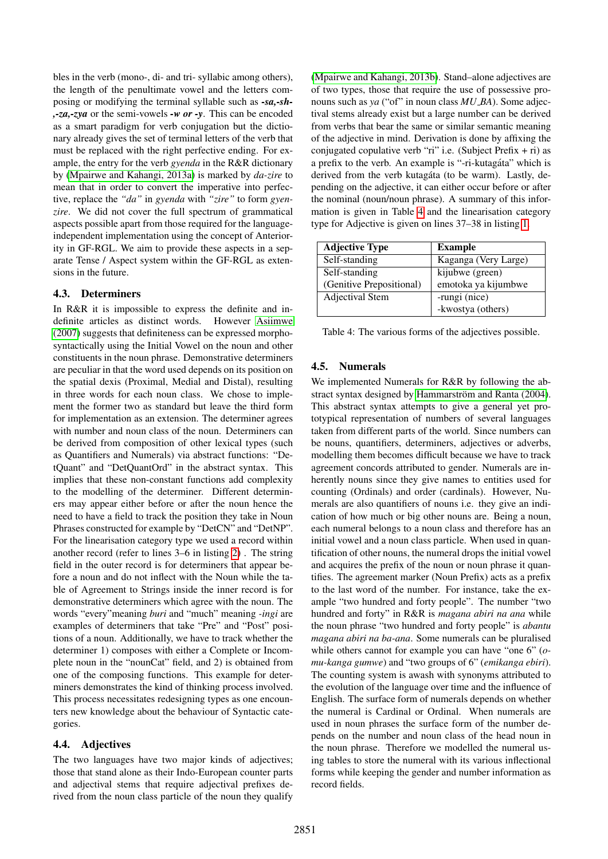bles in the verb (mono-, di- and tri- syllabic among others), the length of the penultimate vowel and the letters composing or modifying the terminal syllable such as *-sa,-sh- ,-za,-zya* or the semi-vowels *-w or -y*. This can be encoded as a smart paradigm for verb conjugation but the dictionary already gives the set of terminal letters of the verb that must be replaced with the right perfective ending. For example, the entry for the verb *gyenda* in the R&R dictionary by [\(Mpairwe and Kahangi, 2013a\)](#page-8-19) is marked by *da-zire* to mean that in order to convert the imperative into perfective, replace the *"da"* in *gyenda* with *"zire"* to form *gyenzire*. We did not cover the full spectrum of grammatical aspects possible apart from those required for the languageindependent implementation using the concept of Anteriority in GF-RGL. We aim to provide these aspects in a separate Tense / Aspect system within the GF-RGL as extensions in the future.

## 4.3. Determiners

In R&R it is impossible to express the definite and indefinite articles as distinct words. However [Asiimwe](#page-8-26) [\(2007\)](#page-8-26) suggests that definiteness can be expressed morphosyntactically using the Initial Vowel on the noun and other constituents in the noun phrase. Demonstrative determiners are peculiar in that the word used depends on its position on the spatial dexis (Proximal, Medial and Distal), resulting in three words for each noun class. We chose to implement the former two as standard but leave the third form for implementation as an extension. The determiner agrees with number and noun class of the noun. Determiners can be derived from composition of other lexical types (such as Quantifiers and Numerals) via abstract functions: "DetQuant" and "DetQuantOrd" in the abstract syntax. This implies that these non-constant functions add complexity to the modelling of the determiner. Different determiners may appear either before or after the noun hence the need to have a field to track the position they take in Noun Phrases constructed for example by "DetCN" and "DetNP". For the linearisation category type we used a record within another record (refer to lines 3–6 in listing [2\)](#page-4-4) . The string field in the outer record is for determiners that appear before a noun and do not inflect with the Noun while the table of Agreement to Strings inside the inner record is for demonstrative determiners which agree with the noun. The words "every"meaning *buri* and "much" meaning *-ingi* are examples of determiners that take "Pre" and "Post" positions of a noun. Additionally, we have to track whether the determiner 1) composes with either a Complete or Incomplete noun in the "nounCat" field, and 2) is obtained from one of the composing functions. This example for determiners demonstrates the kind of thinking process involved. This process necessitates redesigning types as one encounters new knowledge about the behaviour of Syntactic categories.

## 4.4. Adjectives

The two languages have two major kinds of adjectives; those that stand alone as their Indo-European counter parts and adjectival stems that require adjectival prefixes derived from the noun class particle of the noun they qualify

[\(Mpairwe and Kahangi, 2013b\)](#page-8-21). Stand–alone adjectives are of two types, those that require the use of possessive pronouns such as *ya* ("of" in noun class *MU BA*). Some adjectival stems already exist but a large number can be derived from verbs that bear the same or similar semantic meaning of the adjective in mind. Derivation is done by affixing the conjugated copulative verb "ri" i.e. (Subject Prefix  $+$  ri) as a prefix to the verb. An example is "-ri-kutagata" which is derived from the verb kutagáta (to be warm). Lastly, depending on the adjective, it can either occur before or after the nominal (noun/noun phrase). A summary of this information is given in Table [4](#page-5-0) and the linearisation category type for Adjective is given on lines 37–38 in listing [1.](#page-4-1)

<span id="page-5-0"></span>

| <b>Adjective Type</b>    | <b>Example</b>       |
|--------------------------|----------------------|
| Self-standing            | Kaganga (Very Large) |
| Self-standing            | kijubwe (green)      |
| (Genitive Prepositional) | emotoka ya kijumbwe  |
| Adjectival Stem          | -rungi (nice)        |
|                          | -kwostya (others)    |

Table 4: The various forms of the adjectives possible.

## 4.5. Numerals

We implemented Numerals for R&R by following the abstract syntax designed by Hammarström and Ranta (2004). This abstract syntax attempts to give a general yet prototypical representation of numbers of several languages taken from different parts of the world. Since numbers can be nouns, quantifiers, determiners, adjectives or adverbs, modelling them becomes difficult because we have to track agreement concords attributed to gender. Numerals are inherently nouns since they give names to entities used for counting (Ordinals) and order (cardinals). However, Numerals are also quantifiers of nouns i.e. they give an indication of how much or big other nouns are. Being a noun, each numeral belongs to a noun class and therefore has an initial vowel and a noun class particle. When used in quantification of other nouns, the numeral drops the initial vowel and acquires the prefix of the noun or noun phrase it quantifies. The agreement marker (Noun Prefix) acts as a prefix to the last word of the number. For instance, take the example "two hundred and forty people". The number "two hundred and forty" in R&R is *magana abiri na ana* while the noun phrase "two hundred and forty people" is *abantu magana abiri na ba-ana*. Some numerals can be pluralised while others cannot for example you can have "one 6" (*omu-kanga gumwe*) and "two groups of 6" (*emikanga ebiri*). The counting system is awash with synonyms attributed to the evolution of the language over time and the influence of English. The surface form of numerals depends on whether the numeral is Cardinal or Ordinal. When numerals are used in noun phrases the surface form of the number depends on the number and noun class of the head noun in the noun phrase. Therefore we modelled the numeral using tables to store the numeral with its various inflectional forms while keeping the gender and number information as record fields.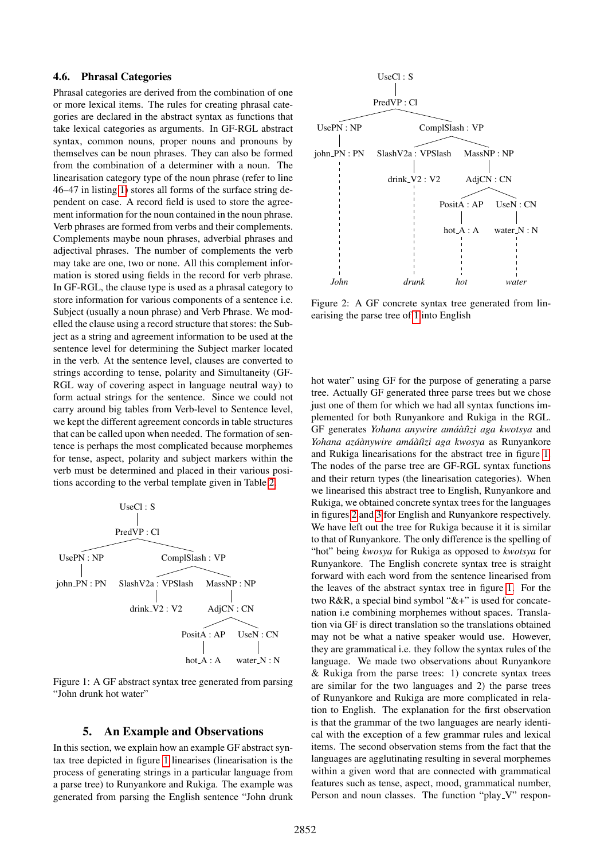## 4.6. Phrasal Categories

Phrasal categories are derived from the combination of one or more lexical items. The rules for creating phrasal categories are declared in the abstract syntax as functions that take lexical categories as arguments. In GF-RGL abstract syntax, common nouns, proper nouns and pronouns by themselves can be noun phrases. They can also be formed from the combination of a determiner with a noun. The linearisation category type of the noun phrase (refer to line 46–47 in listing [1\)](#page-4-1) stores all forms of the surface string dependent on case. A record field is used to store the agreement information for the noun contained in the noun phrase. Verb phrases are formed from verbs and their complements. Complements maybe noun phrases, adverbial phrases and adjectival phrases. The number of complements the verb may take are one, two or none. All this complement information is stored using fields in the record for verb phrase. In GF-RGL, the clause type is used as a phrasal category to store information for various components of a sentence i.e. Subject (usually a noun phrase) and Verb Phrase. We modelled the clause using a record structure that stores: the Subject as a string and agreement information to be used at the sentence level for determining the Subject marker located in the verb. At the sentence level, clauses are converted to strings according to tense, polarity and Simultaneity (GF-RGL way of covering aspect in language neutral way) to form actual strings for the sentence. Since we could not carry around big tables from Verb-level to Sentence level, we kept the different agreement concords in table structures that can be called upon when needed. The formation of sentence is perhaps the most complicated because morphemes for tense, aspect, polarity and subject markers within the verb must be determined and placed in their various positions according to the verbal template given in Table [2.](#page-3-0)

<span id="page-6-1"></span>

Figure 1: A GF abstract syntax tree generated from parsing "John drunk hot water"

#### 5. An Example and Observations

<span id="page-6-0"></span>In this section, we explain how an example GF abstract syntax tree depicted in figure [1](#page-6-1) linearises (linearisation is the process of generating strings in a particular language from a parse tree) to Runyankore and Rukiga. The example was generated from parsing the English sentence "John drunk

<span id="page-6-2"></span>

Figure 2: A GF concrete syntax tree generated from linearising the parse tree of [1](#page-6-1) into English

hot water" using GF for the purpose of generating a parse tree. Actually GF generated three parse trees but we chose just one of them for which we had all syntax functions implemented for both Runyankore and Rukiga in the RGL. GF generates *Yohana anywire amáàûzi aga kwotsya* and *Yohana aza´anywire am ` a´a`´ı`ızi aga kwosya* as Runyankore and Rukiga linearisations for the abstract tree in figure [1.](#page-6-1) The nodes of the parse tree are GF-RGL syntax functions and their return types (the linearisation categories). When we linearised this abstract tree to English, Runyankore and Rukiga, we obtained concrete syntax trees for the languages in figures [2](#page-6-2) and [3](#page-7-2) for English and Runyankore respectively. We have left out the tree for Rukiga because it it is similar to that of Runyankore. The only difference is the spelling of "hot" being *kwosya* for Rukiga as opposed to *kwotsya* for Runyankore. The English concrete syntax tree is straight forward with each word from the sentence linearised from the leaves of the abstract syntax tree in figure [1.](#page-6-1) For the two R&R, a special bind symbol "&+" is used for concatenation i.e combining morphemes without spaces. Translation via GF is direct translation so the translations obtained may not be what a native speaker would use. However, they are grammatical i.e. they follow the syntax rules of the language. We made two observations about Runyankore & Rukiga from the parse trees: 1) concrete syntax trees are similar for the two languages and 2) the parse trees of Runyankore and Rukiga are more complicated in relation to English. The explanation for the first observation is that the grammar of the two languages are nearly identical with the exception of a few grammar rules and lexical items. The second observation stems from the fact that the languages are agglutinating resulting in several morphemes within a given word that are connected with grammatical features such as tense, aspect, mood, grammatical number, Person and noun classes. The function "play\_V" respon-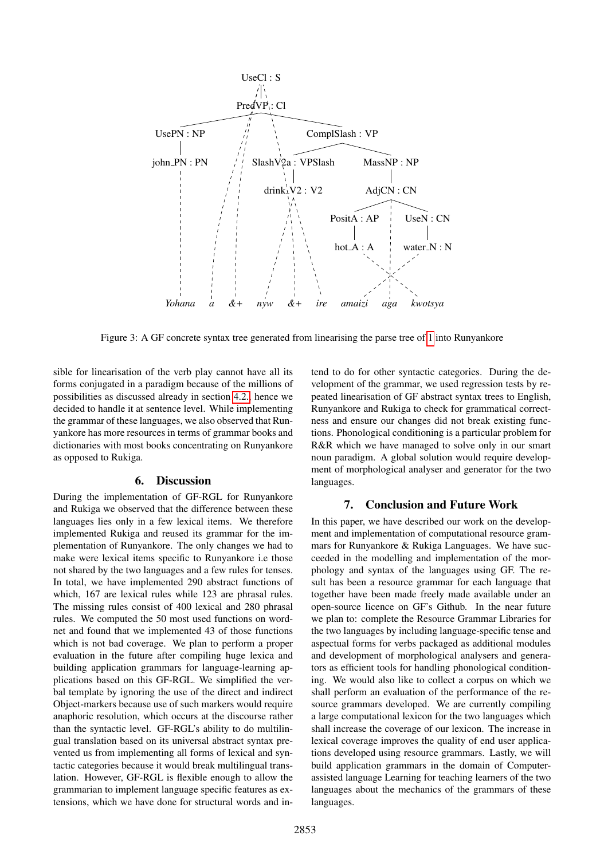<span id="page-7-2"></span>

Figure 3: A GF concrete syntax tree generated from linearising the parse tree of [1](#page-6-1) into Runyankore

sible for linearisation of the verb play cannot have all its forms conjugated in a paradigm because of the millions of possibilities as discussed already in section [4.2.,](#page-4-5) hence we decided to handle it at sentence level. While implementing the grammar of these languages, we also observed that Runyankore has more resources in terms of grammar books and dictionaries with most books concentrating on Runyankore as opposed to Rukiga.

## 6. Discussion

<span id="page-7-0"></span>During the implementation of GF-RGL for Runyankore and Rukiga we observed that the difference between these languages lies only in a few lexical items. We therefore implemented Rukiga and reused its grammar for the implementation of Runyankore. The only changes we had to make were lexical items specific to Runyankore i.e those not shared by the two languages and a few rules for tenses. In total, we have implemented 290 abstract functions of which, 167 are lexical rules while 123 are phrasal rules. The missing rules consist of 400 lexical and 280 phrasal rules. We computed the 50 most used functions on wordnet and found that we implemented 43 of those functions which is not bad coverage. We plan to perform a proper evaluation in the future after compiling huge lexica and building application grammars for language-learning applications based on this GF-RGL. We simplified the verbal template by ignoring the use of the direct and indirect Object-markers because use of such markers would require anaphoric resolution, which occurs at the discourse rather than the syntactic level. GF-RGL's ability to do multilingual translation based on its universal abstract syntax prevented us from implementing all forms of lexical and syntactic categories because it would break multilingual translation. However, GF-RGL is flexible enough to allow the grammarian to implement language specific features as extensions, which we have done for structural words and intend to do for other syntactic categories. During the development of the grammar, we used regression tests by repeated linearisation of GF abstract syntax trees to English, Runyankore and Rukiga to check for grammatical correctness and ensure our changes did not break existing functions. Phonological conditioning is a particular problem for R&R which we have managed to solve only in our smart noun paradigm. A global solution would require development of morphological analyser and generator for the two languages.

## 7. Conclusion and Future Work

<span id="page-7-1"></span>In this paper, we have described our work on the development and implementation of computational resource grammars for Runyankore & Rukiga Languages. We have succeeded in the modelling and implementation of the morphology and syntax of the languages using GF. The result has been a resource grammar for each language that together have been made freely made available under an open-source licence on GF's Github. In the near future we plan to: complete the Resource Grammar Libraries for the two languages by including language-specific tense and aspectual forms for verbs packaged as additional modules and development of morphological analysers and generators as efficient tools for handling phonological conditioning. We would also like to collect a corpus on which we shall perform an evaluation of the performance of the resource grammars developed. We are currently compiling a large computational lexicon for the two languages which shall increase the coverage of our lexicon. The increase in lexical coverage improves the quality of end user applications developed using resource grammars. Lastly, we will build application grammars in the domain of Computerassisted language Learning for teaching learners of the two languages about the mechanics of the grammars of these languages.